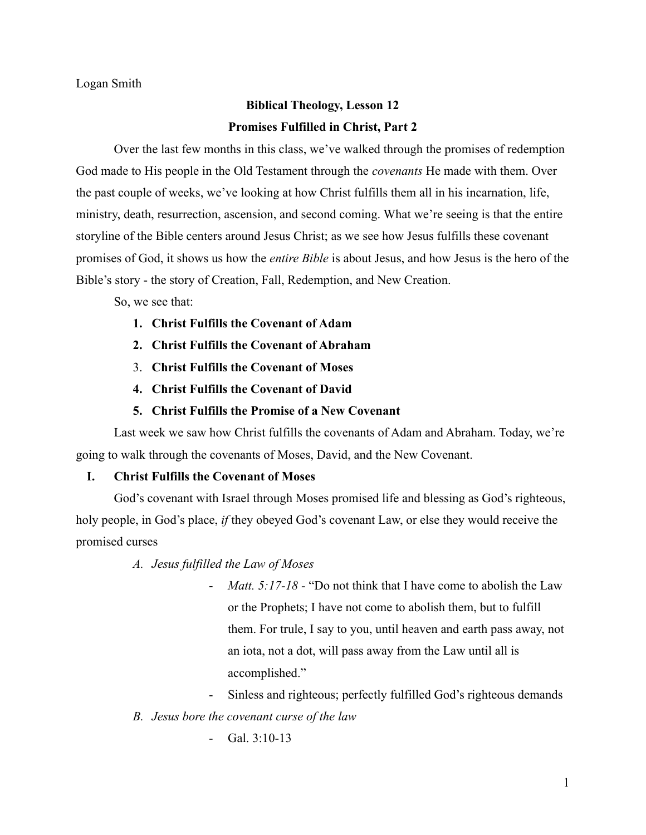Logan Smith

## **Biblical Theology, Lesson 12 Promises Fulfilled in Christ, Part 2**

Over the last few months in this class, we've walked through the promises of redemption God made to His people in the Old Testament through the *covenants* He made with them. Over the past couple of weeks, we've looking at how Christ fulfills them all in his incarnation, life, ministry, death, resurrection, ascension, and second coming. What we're seeing is that the entire storyline of the Bible centers around Jesus Christ; as we see how Jesus fulfills these covenant promises of God, it shows us how the *entire Bible* is about Jesus, and how Jesus is the hero of the Bible's story - the story of Creation, Fall, Redemption, and New Creation.

So, we see that:

- **1. Christ Fulfills the Covenant of Adam**
- **2. Christ Fulfills the Covenant of Abraham**
- 3. **Christ Fulfills the Covenant of Moses**
- **4. Christ Fulfills the Covenant of David**
- **5. Christ Fulfills the Promise of a New Covenant**

Last week we saw how Christ fulfills the covenants of Adam and Abraham. Today, we're going to walk through the covenants of Moses, David, and the New Covenant.

## **I. Christ Fulfills the Covenant of Moses**

God's covenant with Israel through Moses promised life and blessing as God's righteous, holy people, in God's place, *if* they obeyed God's covenant Law, or else they would receive the promised curses

- *A. Jesus fulfilled the Law of Moses*
	- *Matt. 5:17-18 -* "Do not think that I have come to abolish the Law or the Prophets; I have not come to abolish them, but to fulfill them. For trule, I say to you, until heaven and earth pass away, not an iota, not a dot, will pass away from the Law until all is accomplished."
- Sinless and righteous; perfectly fulfilled God's righteous demands *B. Jesus bore the covenant curse of the law*
	- $Gal.3:10-13$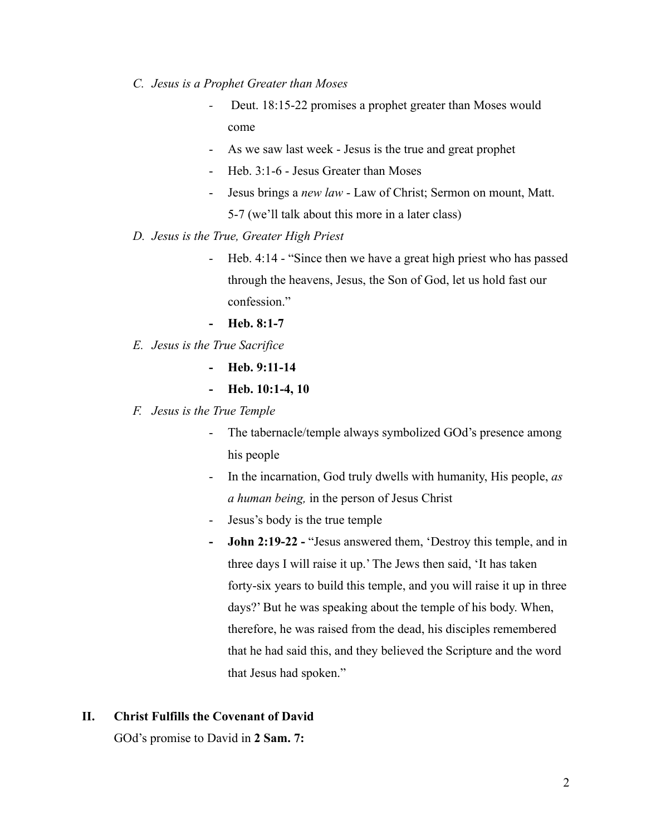- *C. Jesus is a Prophet Greater than Moses*
	- *-* Deut. 18:15-22 promises a prophet greater than Moses would come
	- As we saw last week Jesus is the true and great prophet
	- Heb. 3:1-6 Jesus Greater than Moses
	- Jesus brings a *new law* Law of Christ; Sermon on mount, Matt. 5-7 (we'll talk about this more in a later class)
- *D. Jesus is the True, Greater High Priest*
	- Heb. 4:14 "Since then we have a great high priest who has passed through the heavens, Jesus, the Son of God, let us hold fast our confession."
	- **- Heb. 8:1-7**
- *E. Jesus is the True Sacrifice*
	- **- Heb. 9:11-14**
	- **- Heb. 10:1-4, 10**
- *F. Jesus is the True Temple*
	- The tabernacle/temple always symbolized GOd's presence among his people
	- In the incarnation, God truly dwells with humanity, His people, *as a human being,* in the person of Jesus Christ
	- Jesus's body is the true temple
	- **- John 2:19-22 -** "Jesus answered them, 'Destroy this temple, and in three days I will raise it up.' The Jews then said, 'It has taken forty-six years to build this temple, and you will raise it up in three days?' But he was speaking about the temple of his body. When, therefore, he was raised from the dead, his disciples remembered that he had said this, and they believed the Scripture and the word that Jesus had spoken."

## **II. Christ Fulfills the Covenant of David**

GOd's promise to David in **2 Sam. 7:**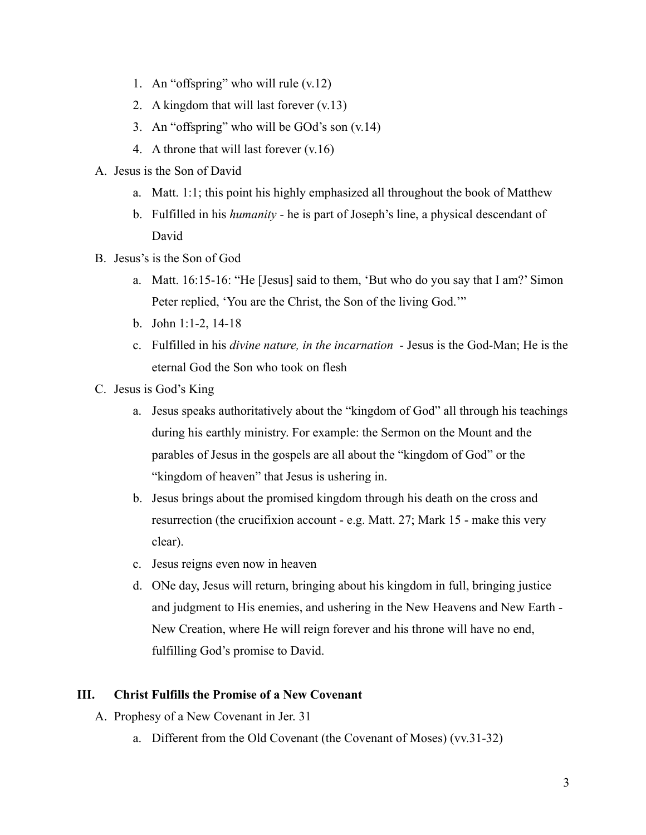- 1. An "offspring" who will rule (v.12)
- 2. A kingdom that will last forever (v.13)
- 3. An "offspring" who will be GOd's son (v.14)
- 4. A throne that will last forever (v.16)
- A. Jesus is the Son of David
	- a. Matt. 1:1; this point his highly emphasized all throughout the book of Matthew
	- b. Fulfilled in his *humanity -* he is part of Joseph's line, a physical descendant of David
- B. Jesus's is the Son of God
	- a. Matt. 16:15-16: "He [Jesus] said to them, 'But who do you say that I am?' Simon Peter replied, 'You are the Christ, the Son of the living God.'"
	- b. John 1:1-2, 14-18
	- c. Fulfilled in his *divine nature, in the incarnation -* Jesus is the God-Man; He is the eternal God the Son who took on flesh
- C. Jesus is God's King
	- a. Jesus speaks authoritatively about the "kingdom of God" all through his teachings during his earthly ministry. For example: the Sermon on the Mount and the parables of Jesus in the gospels are all about the "kingdom of God" or the "kingdom of heaven" that Jesus is ushering in.
	- b. Jesus brings about the promised kingdom through his death on the cross and resurrection (the crucifixion account - e.g. Matt. 27; Mark 15 - make this very clear).
	- c. Jesus reigns even now in heaven
	- d. ONe day, Jesus will return, bringing about his kingdom in full, bringing justice and judgment to His enemies, and ushering in the New Heavens and New Earth - New Creation, where He will reign forever and his throne will have no end, fulfilling God's promise to David.

## **III. Christ Fulfills the Promise of a New Covenant**

- A. Prophesy of a New Covenant in Jer. 31
	- a. Different from the Old Covenant (the Covenant of Moses) (vv.31-32)